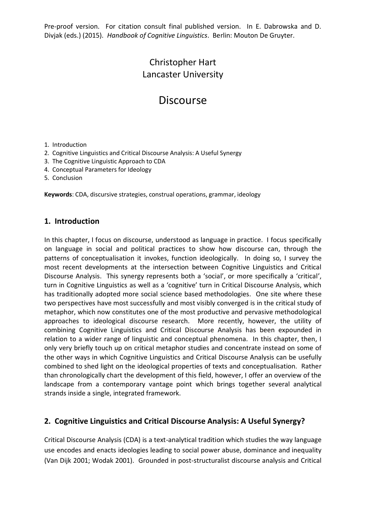Pre-proof version. For citation consult final published version. In E. Dabrowska and D. Divjak (eds.) (2015). *Handbook of Cognitive Linguistics*. Berlin: Mouton De Gruyter.

## Christopher Hart Lancaster University

# **Discourse**

#### 1. Introduction

- 2. Cognitive Linguistics and Critical Discourse Analysis: A Useful Synergy
- 3. The Cognitive Linguistic Approach to CDA
- 4. Conceptual Parameters for Ideology
- 5. Conclusion

**Keywords**: CDA, discursive strategies, construal operations, grammar, ideology

## **1. Introduction**

In this chapter, I focus on discourse, understood as language in practice. I focus specifically on language in social and political practices to show how discourse can, through the patterns of conceptualisation it invokes, function ideologically. In doing so, I survey the most recent developments at the intersection between Cognitive Linguistics and Critical Discourse Analysis. This synergy represents both a 'social', or more specifically a 'critical', turn in Cognitive Linguistics as well as a 'cognitive' turn in Critical Discourse Analysis, which has traditionally adopted more social science based methodologies. One site where these two perspectives have most successfully and most visibly converged is in the critical study of metaphor, which now constitutes one of the most productive and pervasive methodological approaches to ideological discourse research. More recently, however, the utility of combining Cognitive Linguistics and Critical Discourse Analysis has been expounded in relation to a wider range of linguistic and conceptual phenomena. In this chapter, then, I only very briefly touch up on critical metaphor studies and concentrate instead on some of the other ways in which Cognitive Linguistics and Critical Discourse Analysis can be usefully combined to shed light on the ideological properties of texts and conceptualisation. Rather than chronologically chart the development of this field, however, I offer an overview of the landscape from a contemporary vantage point which brings together several analytical strands inside a single, integrated framework.

## **2. Cognitive Linguistics and Critical Discourse Analysis: A Useful Synergy?**

Critical Discourse Analysis (CDA) is a text-analytical tradition which studies the way language use encodes and enacts ideologies leading to social power abuse, dominance and inequality (Van Dijk 2001; Wodak 2001). Grounded in post-structuralist discourse analysis and Critical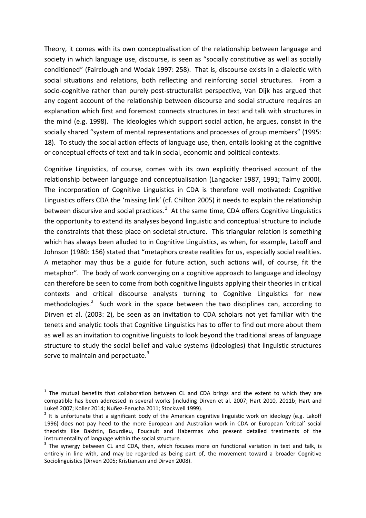Theory, it comes with its own conceptualisation of the relationship between language and society in which language use, discourse, is seen as "socially constitutive as well as socially conditioned" (Fairclough and Wodak 1997: 258). That is, discourse exists in a dialectic with social situations and relations, both reflecting and reinforcing social structures. From a socio-cognitive rather than purely post-structuralist perspective, Van Dijk has argued that any cogent account of the relationship between discourse and social structure requires an explanation which first and foremost connects structures in text and talk with structures in the mind (e.g. 1998). The ideologies which support social action, he argues, consist in the socially shared "system of mental representations and processes of group members" (1995: 18). To study the social action effects of language use, then, entails looking at the cognitive or conceptual effects of text and talk in social, economic and political contexts.

Cognitive Linguistics, of course, comes with its own explicitly theorised account of the relationship between language and conceptualisation (Langacker 1987, 1991; Talmy 2000). The incorporation of Cognitive Linguistics in CDA is therefore well motivated: Cognitive Linguistics offers CDA the 'missing link' (cf. Chilton 2005) it needs to explain the relationship between discursive and social practices. $<sup>1</sup>$  At the same time, CDA offers Cognitive Linguistics</sup> the opportunity to extend its analyses beyond linguistic and conceptual structure to include the constraints that these place on societal structure. This triangular relation is something which has always been alluded to in Cognitive Linguistics, as when, for example, Lakoff and Johnson (1980: 156) stated that "metaphors create realities for us, especially social realities. A metaphor may thus be a guide for future action, such actions will, of course, fit the metaphor". The body of work converging on a cognitive approach to language and ideology can therefore be seen to come from both cognitive linguists applying their theories in critical contexts and critical discourse analysts turning to Cognitive Linguistics for new methodologies.<sup>2</sup> Such work in the space between the two disciplines can, according to Dirven et al. (2003: 2), be seen as an invitation to CDA scholars not yet familiar with the tenets and analytic tools that Cognitive Linguistics has to offer to find out more about them as well as an invitation to cognitive linguists to look beyond the traditional areas of language structure to study the social belief and value systems (ideologies) that linguistic structures serve to maintain and perpetuate. $3$ 

 $1$  The mutual benefits that collaboration between CL and CDA brings and the extent to which they are compatible has been addressed in several works (including Dirven et al. 2007; Hart 2010, 2011b; Hart and Lukeš 2007; Koller 2014; Nuñez-Perucha 2011; Stockwell 1999).

 $2$  It is unfortunate that a significant body of the American cognitive linguistic work on ideology (e.g. Lakoff 1996) does not pay heed to the more European and Australian work in CDA or European 'critical' social theorists like Bakhtin, Bourdieu, Foucault and Habermas who present detailed treatments of the instrumentality of language within the social structure.

<sup>&</sup>lt;sup>3</sup> The synergy between CL and CDA, then, which focuses more on functional variation in text and talk, is entirely in line with, and may be regarded as being part of, the movement toward a broader Cognitive Sociolinguistics (Dirven 2005; Kristiansen and Dirven 2008).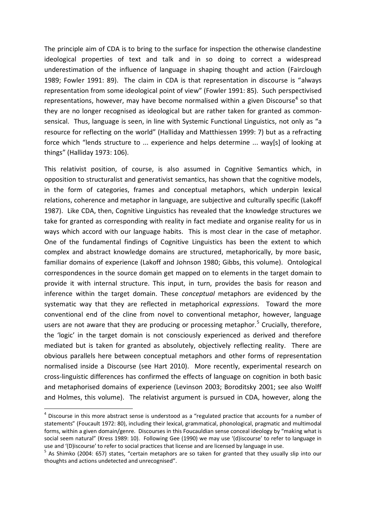The principle aim of CDA is to bring to the surface for inspection the otherwise clandestine ideological properties of text and talk and in so doing to correct a widespread underestimation of the influence of language in shaping thought and action (Fairclough 1989; Fowler 1991: 89). The claim in CDA is that representation in discourse is "always representation from some ideological point of view" (Fowler 1991: 85). Such perspectivised representations, however, may have become normalised within a given Discourse<sup>4</sup> so that they are no longer recognised as ideological but are rather taken for granted as commonsensical. Thus, language is seen, in line with Systemic Functional Linguistics, not only as "a resource for reflecting on the world" (Halliday and Matthiessen 1999: 7) but as a refracting force which "lends structure to ... experience and helps determine ... way[s] of looking at things" (Halliday 1973: 106).

This relativist position, of course, is also assumed in Cognitive Semantics which, in opposition to structuralist and generativist semantics, has shown that the cognitive models, in the form of categories, frames and conceptual metaphors, which underpin lexical relations, coherence and metaphor in language, are subjective and culturally specific (Lakoff 1987). Like CDA, then, Cognitive Linguistics has revealed that the knowledge structures we take for granted as corresponding with reality in fact mediate and organise reality for us in ways which accord with our language habits. This is most clear in the case of metaphor. One of the fundamental findings of Cognitive Linguistics has been the extent to which complex and abstract knowledge domains are structured, metaphorically, by more basic, familiar domains of experience (Lakoff and Johnson 1980; Gibbs, this volume). Ontological correspondences in the source domain get mapped on to elements in the target domain to provide it with internal structure. This input, in turn, provides the basis for reason and inference within the target domain. These *conceptual* metaphors are evidenced by the systematic way that they are reflected in metaphorical *expressions*. Toward the more conventional end of the cline from novel to conventional metaphor, however, language users are not aware that they are producing or processing metaphor.<sup>5</sup> Crucially, therefore, the 'logic' in the target domain is not consciously experienced as derived and therefore mediated but is taken for granted as absolutely, objectively reflecting reality. There are obvious parallels here between conceptual metaphors and other forms of representation normalised inside a Discourse (see Hart 2010). More recently, experimental research on cross-linguistic differences has confirmed the effects of language on cognition in both basic and metaphorised domains of experience (Levinson 2003; Boroditsky 2001; see also Wolff and Holmes, this volume). The relativist argument is pursued in CDA, however, along the

<sup>&</sup>lt;sup>4</sup> Discourse in this more abstract sense is understood as a "regulated practice that accounts for a number of statements" (Foucault 1972: 80), including their lexical, grammatical, phonological, pragmatic and multimodal forms, within a given domain/genre. Discourses in this Foucauldian sense conceal ideology by "making what is social seem natural" (Kress 1989: 10). Following Gee (1990) we may use '(d)iscourse' to refer to language in use and '(D)iscourse' to refer to social practices that license and are licensed by language in use.

<sup>&</sup>lt;sup>5</sup> As Shimko (2004: 657) states, "certain metaphors are so taken for granted that they usually slip into our thoughts and actions undetected and unrecognised".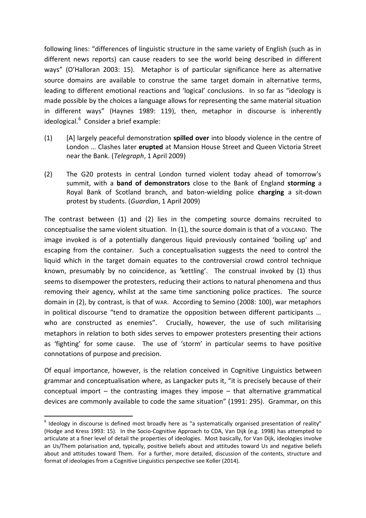following lines: "differences of linguistic structure in the same variety of English (such as in different news reports) can cause readers to see the world being described in different ways" (O'Halloran 2003: 15). Metaphor is of particular significance here as alternative source domains are available to construe the same target domain in alternative terms, leading to different emotional reactions and 'logical' conclusions. In so far as "ideology is made possible by the choices a language allows for representing the same material situation in different ways" (Haynes 1989: 119), then, metaphor in discourse is inherently ideological.<sup>6</sup> Consider a brief example:

- (1) [A] largely peaceful demonstration **spilled over** into bloody violence in the centre of London … Clashes later **erupted** at Mansion House Street and Queen Victoria Street near the Bank. (*Telegraph*, 1 April 2009)
- (2) The G20 protests in central London turned violent today ahead of tomorrow's summit, with a **band of demonstrators** close to the Bank of England **storming** a Royal Bank of Scotland branch, and baton-wielding police **charging** a sit-down protest by students. (*Guardian*, 1 April 2009)

The contrast between (1) and (2) lies in the competing source domains recruited to conceptualise the same violent situation. In (1), the source domain is that of a VOLCANO. The image invoked is of a potentially dangerous liquid previously contained 'boiling up' and escaping from the container. Such a conceptualisation suggests the need to control the liquid which in the target domain equates to the controversial crowd control technique known, presumably by no coincidence, as 'kettling'. The construal invoked by (1) thus seems to disempower the protesters, reducing their actions to natural phenomena and thus removing their agency, whilst at the same time sanctioning police practices. The source domain in (2), by contrast, is that of WAR. According to Semino (2008: 100), war metaphors in political discourse "tend to dramatize the opposition between different participants … who are constructed as enemies". Crucially, however, the use of such militarising metaphors in relation to both sides serves to empower protesters presenting their actions as 'fighting' for some cause. The use of 'storm' in particular seems to have positive connotations of purpose and precision.

Of equal importance, however, is the relation conceived in Cognitive Linguistics between grammar and conceptualisation where, as Langacker puts it, "it is precisely because of their conceptual import  $-$  the contrasting images they impose  $-$  that alternative grammatical devices are commonly available to code the same situation" (1991: 295). Grammar, on this

 $<sup>6</sup>$  Ideology in discourse is defined most broadly here as "a systematically organised presentation of reality"</sup> (Hodge and Kress 1993: 15). In the Socio-Cognitive Approach to CDA, Van Dijk (e.g. 1998) has attempted to articulate at a finer level of detail the properties of ideologies. Most basically, for Van Dijk, ideologies involve an Us/Them polarisation and, typically, positive beliefs about and attitudes toward Us and negative beliefs about and attitudes toward Them. For a further, more detailed, discussion of the contents, structure and format of ideologies from a Cognitive Linguistics perspective see Koller (2014).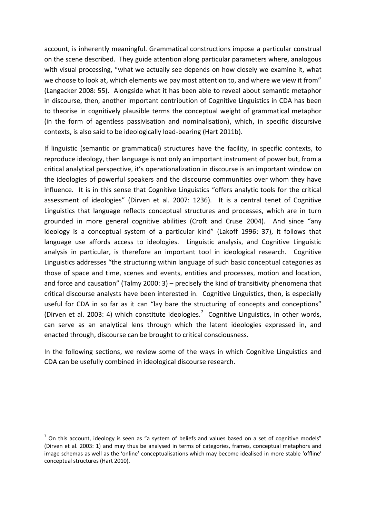account, is inherently meaningful. Grammatical constructions impose a particular construal on the scene described. They guide attention along particular parameters where, analogous with visual processing, "what we actually see depends on how closely we examine it, what we choose to look at, which elements we pay most attention to, and where we view it from" (Langacker 2008: 55). Alongside what it has been able to reveal about semantic metaphor in discourse, then, another important contribution of Cognitive Linguistics in CDA has been to theorise in cognitively plausible terms the conceptual weight of grammatical metaphor (in the form of agentless passivisation and nominalisation), which, in specific discursive contexts, is also said to be ideologically load-bearing (Hart 2011b).

If linguistic (semantic or grammatical) structures have the facility, in specific contexts, to reproduce ideology, then language is not only an important instrument of power but, from a critical analytical perspective, it's operationalization in discourse is an important window on the ideologies of powerful speakers and the discourse communities over whom they have influence. It is in this sense that Cognitive Linguistics "offers analytic tools for the critical assessment of ideologies" (Dirven et al. 2007: 1236). It is a central tenet of Cognitive Linguistics that language reflects conceptual structures and processes, which are in turn grounded in more general cognitive abilities (Croft and Cruse 2004). And since "any ideology is a conceptual system of a particular kind" (Lakoff 1996: 37), it follows that language use affords access to ideologies. Linguistic analysis, and Cognitive Linguistic analysis in particular, is therefore an important tool in ideological research. Cognitive Linguistics addresses "the structuring within language of such basic conceptual categories as those of space and time, scenes and events, entities and processes, motion and location, and force and causation" (Talmy 2000: 3) – precisely the kind of transitivity phenomena that critical discourse analysts have been interested in. Cognitive Linguistics, then, is especially useful for CDA in so far as it can "lay bare the structuring of concepts and conceptions" (Dirven et al. 2003: 4) which constitute ideologies.<sup>7</sup> Cognitive Linguistics, in other words, can serve as an analytical lens through which the latent ideologies expressed in, and enacted through, discourse can be brought to critical consciousness.

In the following sections, we review some of the ways in which Cognitive Linguistics and CDA can be usefully combined in ideological discourse research.

 $<sup>7</sup>$  On this account, ideology is seen as "a system of beliefs and values based on a set of cognitive models"</sup> (Dirven et al. 2003: 1) and may thus be analysed in terms of categories, frames, conceptual metaphors and image schemas as well as the 'online' conceptualisations which may become idealised in more stable 'offline' conceptual structures (Hart 2010).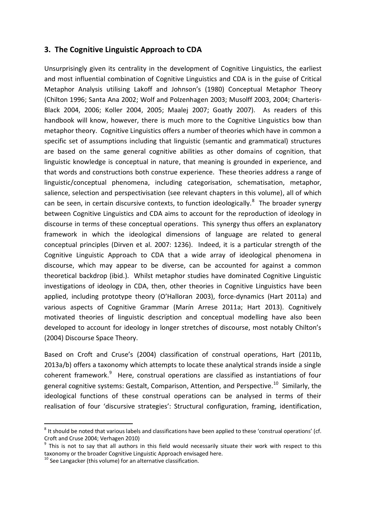#### **3. The Cognitive Linguistic Approach to CDA**

Unsurprisingly given its centrality in the development of Cognitive Linguistics, the earliest and most influential combination of Cognitive Linguistics and CDA is in the guise of Critical Metaphor Analysis utilising Lakoff and Johnson's (1980) Conceptual Metaphor Theory (Chilton 1996; Santa Ana 2002; Wolf and Polzenhagen 2003; Musolff 2003, 2004; Charteris-Black 2004, 2006; Koller 2004, 2005; Maalej 2007; Goatly 2007). As readers of this handbook will know, however, there is much more to the Cognitive Linguistics bow than metaphor theory. Cognitive Linguistics offers a number of theories which have in common a specific set of assumptions including that linguistic (semantic and grammatical) structures are based on the same general cognitive abilities as other domains of cognition, that linguistic knowledge is conceptual in nature, that meaning is grounded in experience, and that words and constructions both construe experience. These theories address a range of linguistic/conceptual phenomena, including categorisation, schematisation, metaphor, salience, selection and perspectivisation (see relevant chapters in this volume), all of which can be seen, in certain discursive contexts, to function ideologically.<sup>8</sup> The broader synergy between Cognitive Linguistics and CDA aims to account for the reproduction of ideology in discourse in terms of these conceptual operations. This synergy thus offers an explanatory framework in which the ideological dimensions of language are related to general conceptual principles (Dirven et al. 2007: 1236). Indeed, it is a particular strength of the Cognitive Linguistic Approach to CDA that a wide array of ideological phenomena in discourse, which may appear to be diverse, can be accounted for against a common theoretical backdrop (ibid.). Whilst metaphor studies have dominated Cognitive Linguistic investigations of ideology in CDA, then, other theories in Cognitive Linguistics have been applied, including prototype theory (O'Halloran 2003), force-dynamics (Hart 2011a) and various aspects of Cognitive Grammar (Marín Arrese 2011a; Hart 2013). Cognitively motivated theories of linguistic description and conceptual modelling have also been developed to account for ideology in longer stretches of discourse, most notably Chilton's (2004) Discourse Space Theory.

Based on Croft and Cruse's (2004) classification of construal operations, Hart (2011b, 2013a/b) offers a taxonomy which attempts to locate these analytical strands inside a single coherent framework.<sup>9</sup> Here, construal operations are classified as instantiations of four general cognitive systems: Gestalt, Comparison, Attention, and Perspective.<sup>10</sup> Similarly, the ideological functions of these construal operations can be analysed in terms of their realisation of four 'discursive strategies': Structural configuration, framing, identification,

 8 It should be noted that various labels and classifications have been applied to these 'construal operations' (cf. Croft and Cruse 2004; Verhagen 2010)

<sup>&</sup>lt;sup>9</sup> This is not to say that all authors in this field would necessarily situate their work with respect to this taxonomy or the broader Cognitive Linguistic Approach envisaged here.

 $10$  See Langacker (this volume) for an alternative classification.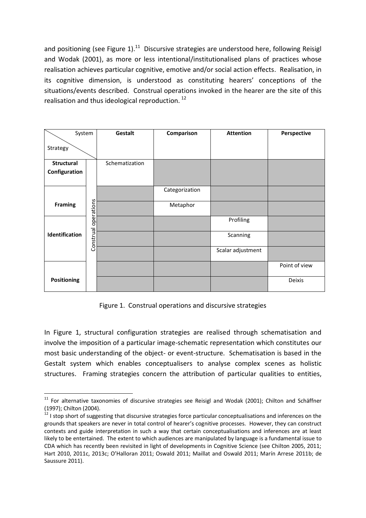and positioning (see Figure 1).<sup>11</sup> Discursive strategies are understood here, following Reisigl and Wodak (2001), as more or less intentional/institutionalised plans of practices whose realisation achieves particular cognitive, emotive and/or social action effects. Realisation, in its cognitive dimension, is understood as constituting hearers' conceptions of the situations/events described. Construal operations invoked in the hearer are the site of this realisation and thus ideological reproduction.<sup>12</sup>

| System                      |            | Gestalt        | Comparison     | <b>Attention</b>  | Perspective   |
|-----------------------------|------------|----------------|----------------|-------------------|---------------|
| Strategy                    |            |                |                |                   |               |
| Structural<br>Configuration |            | Schematization |                |                   |               |
|                             |            |                |                |                   |               |
|                             |            |                | Categorization |                   |               |
| <b>Framing</b>              | operations |                | Metaphor       |                   |               |
|                             |            |                |                | Profiling         |               |
| Identification              | Construal  |                |                | Scanning          |               |
|                             |            |                |                | Scalar adjustment |               |
|                             |            |                |                |                   | Point of view |
| <b>Positioning</b>          |            |                |                |                   | Deixis        |

Figure 1. Construal operations and discursive strategies

In Figure 1, structural configuration strategies are realised through schematisation and involve the imposition of a particular image-schematic representation which constitutes our most basic understanding of the object- or event-structure. Schematisation is based in the Gestalt system which enables conceptualisers to analyse complex scenes as holistic structures. Framing strategies concern the attribution of particular qualities to entities,

<sup>&</sup>lt;sup>11</sup> For alternative taxonomies of discursive strategies see Reisigl and Wodak (2001); Chilton and Schäffner (1997); Chilton (2004).

 $\frac{12}{12}$  I stop short of suggesting that discursive strategies force particular conceptualisations and inferences on the grounds that speakers are never in total control of hearer's cognitive processes. However, they can construct contexts and guide interpretation in such a way that certain conceptualisations and inferences are at least likely to be entertained. The extent to which audiences are manipulated by language is a fundamental issue to CDA which has recently been revisited in light of developments in Cognitive Science (see Chilton 2005, 2011; Hart 2010, 2011c, 2013c; O'Halloran 2011; Oswald 2011; Maillat and Oswald 2011; Marín Arrese 2011b; de Saussure 2011).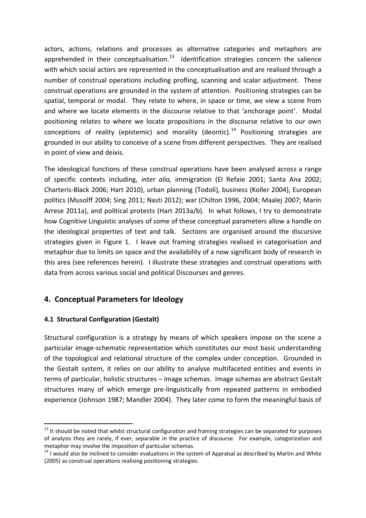actors, actions, relations and processes as alternative categories and metaphors are apprehended in their conceptualisation. $^{13}$  Identification strategies concern the salience with which social actors are represented in the conceptualisation and are realised through a number of construal operations including profling, scanning and scalar adjustment. These construal operations are grounded in the system of attention. Positioning strategies can be spatial, temporal or modal. They relate to where, in space or time, we view a scene from and where we locate elements in the discourse relative to that 'anchorage point'. Modal positioning relates to where we locate propositions in the discourse relative to our own conceptions of reality (epistemic) and morality (deontic).<sup>14</sup> Positioning strategies are grounded in our ability to conceive of a scene from different perspectives. They are realised in point of view and deixis.

The ideological functions of these construal operations have been analysed across a range of specific contexts including, *inter alia,* immigration (El Refaie 2001; Santa Ana 2002; Charteris-Black 2006; Hart 2010), urban planning (Todolí), business (Koller 2004), European politics (Musolff 2004; Sing 2011; Nasti 2012); war (Chilton 1996, 2004; Maalej 2007; Marín Arrese 2011a), and political protests (Hart 2013a/b). In what follows, I try to demonstrate how Cognitive Linguistic analyses of some of these conceptual parameters allow a handle on the ideological properties of text and talk. Sections are organised around the discursive strategies given in Figure 1. I leave out framing strategies realised in categorisation and metaphor due to limits on space and the availability of a now significant body of research in this area (see references herein). I illustrate these strategies and construal operations with data from across various social and political Discourses and genres.

## **4. Conceptual Parameters for Ideology**

#### **4.1 Structural Configuration (Gestalt)**

-

Structural configuration is a strategy by means of which speakers impose on the scene a particular image-schematic representation which constitutes our most basic understanding of the topological and relational structure of the complex under conception. Grounded in the Gestalt system, it relies on our ability to analyse multifaceted entities and events in terms of particular, holistic structures – image schemas. Image schemas are abstract Gestalt structures many of which emerge pre-linguistically from repeated patterns in embodied experience (Johnson 1987; Mandler 2004). They later come to form the meaningful basis of

<sup>&</sup>lt;sup>13</sup> It should be noted that whilst structural configuration and framing strategies can be separated for purposes of analysis they are rarely, if ever, separable in the practice of discourse. For example, categorization and metaphor may involve the imposition of particular schemas.

<sup>&</sup>lt;sup>14</sup> I would also be inclined to consider evaluations in the system of Appraisal as described by Martin and White (2005) as construal operations realising positioning strategies.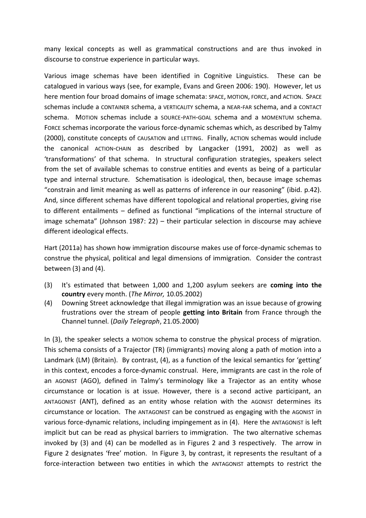many lexical concepts as well as grammatical constructions and are thus invoked in discourse to construe experience in particular ways.

Various image schemas have been identified in Cognitive Linguistics. These can be catalogued in various ways (see, for example, Evans and Green 2006: 190). However, let us here mention four broad domains of image schemata: SPACE, MOTION, FORCE, and ACTION. SPACE schemas include a CONTAINER schema, a VERTICALITY schema, a NEAR-FAR schema, and a CONTACT schema. MOTION schemas include a SOURCE-PATH-GOAL schema and a MOMENTUM schema. FORCE schemas incorporate the various force-dynamic schemas which, as described by Talmy (2000), constitute concepts of CAUSATION and LETTING. Finally, ACTION schemas would include the canonical ACTION-CHAIN as described by Langacker (1991, 2002) as well as 'transformations' of that schema. In structural configuration strategies, speakers select from the set of available schemas to construe entities and events as being of a particular type and internal structure. Schematisation is ideological, then, because image schemas "constrain and limit meaning as well as patterns of inference in our reasoning" (ibid. p.42). And, since different schemas have different topological and relational properties, giving rise to different entailments – defined as functional "implications of the internal structure of image schemata" (Johnson 1987: 22) – their particular selection in discourse may achieve different ideological effects.

Hart (2011a) has shown how immigration discourse makes use of force-dynamic schemas to construe the physical, political and legal dimensions of immigration. Consider the contrast between (3) and (4).

- (3) It's estimated that between 1,000 and 1,200 asylum seekers are **coming into the country** every month. (*The Mirror,* 10.05.2002)
- (4) Downing Street acknowledge that illegal immigration was an issue because of growing frustrations over the stream of people **getting into Britain** from France through the Channel tunnel. (*Daily Telegraph*, 21.05.2000)

In (3), the speaker selects a MOTION schema to construe the physical process of migration. This schema consists of a Trajector (TR) (immigrants) moving along a path of motion into a Landmark (LM) (Britain). By contrast, (4), as a function of the lexical semantics for 'getting' in this context, encodes a force-dynamic construal. Here, immigrants are cast in the role of an AGONIST (AGO), defined in Talmy's terminology like a Trajector as an entity whose circumstance or location is at issue. However, there is a second active participant, an ANTAGONIST (ANT), defined as an entity whose relation with the AGONIST determines its circumstance or location. The ANTAGONIST can be construed as engaging with the AGONIST in various force-dynamic relations, including impingement as in (4). Here the ANTAGONIST is left implicit but can be read as physical barriers to immigration. The two alternative schemas invoked by (3) and (4) can be modelled as in Figures 2 and 3 respectively. The arrow in Figure 2 designates 'free' motion. In Figure 3, by contrast, it represents the resultant of a force-interaction between two entities in which the ANTAGONIST attempts to restrict the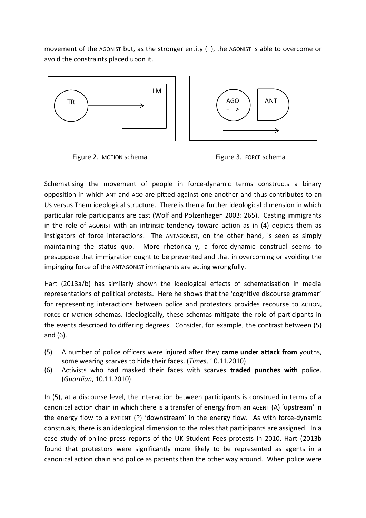movement of the AGONIST but, as the stronger entity (+), the AGONIST is able to overcome or avoid the constraints placed upon it.





Figure 2. MOTION schema<br>
Figure 3. FORCE schema



Schematising the movement of people in force-dynamic terms constructs a binary opposition in which ANT and AGO are pitted against one another and thus contributes to an Us versus Them ideological structure. There is then a further ideological dimension in which particular role participants are cast (Wolf and Polzenhagen 2003: 265). Casting immigrants in the role of AGONIST with an intrinsic tendency toward action as in (4) depicts them as instigators of force interactions. The ANTAGONIST, on the other hand, is seen as simply maintaining the status quo. More rhetorically, a force-dynamic construal seems to presuppose that immigration ought to be prevented and that in overcoming or avoiding the impinging force of the ANTAGONIST immigrants are acting wrongfully.

Hart (2013a/b) has similarly shown the ideological effects of schematisation in media representations of political protests. Here he shows that the 'cognitive discourse grammar' for representing interactions between police and protestors provides recourse to ACTION, FORCE or MOTION schemas. Ideologically, these schemas mitigate the role of participants in the events described to differing degrees. Consider, for example, the contrast between (5) and (6).

- (5) A number of police officers were injured after they **came under attack from** youths, some wearing scarves to hide their faces. (*Times,* 10.11.2010)
- (6) Activists who had masked their faces with scarves **traded punches with** police. (*Guardian*, 10.11.2010)

In (5), at a discourse level, the interaction between participants is construed in terms of a canonical action chain in which there is a transfer of energy from an AGENT (A) 'upstream' in the energy flow to a PATIENT (P) 'downstream' in the energy flow. As with force-dynamic construals, there is an ideological dimension to the roles that participants are assigned. In a case study of online press reports of the UK Student Fees protests in 2010, Hart (2013b found that protestors were significantly more likely to be represented as agents in a canonical action chain and police as patients than the other way around. When police were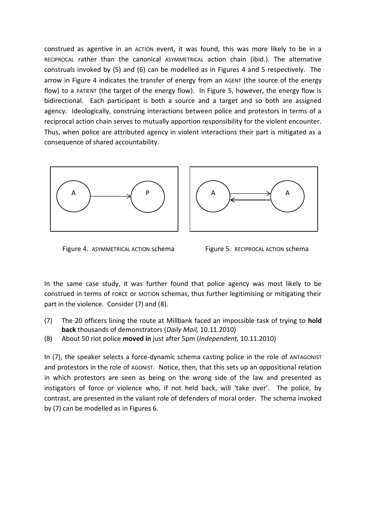construed as agentive in an ACTION event, it was found, this was more likely to be in a RECIPROCAL rather than the canonical ASYMMETRICAL action chain (ibid.). The alternative construals invoked by (5) and (6) can be modelled as in Figures 4 and 5 respectively. The arrow in Figure 4 indicates the transfer of energy from an AGENT (the source of the energy flow) to a PATIENT (the target of the energy flow). In Figure 5, however, the energy flow is bidirectional. Each participant is both a source and a target and so both are assigned agency. Ideologically, construing interactions between police and protestors in terms of a reciprocal action chain serves to mutually apportion responsibility for the violent encounter. Thus, when police are attributed agency in violent interactions their part is mitigated as a consequence of shared accountability.





Figure 4. ASYMMETRICAL ACTION schema<br>
Figure 5. RECIPROCAL ACTION schema

In the same case study, it was further found that police agency was most likely to be construed in terms of FORCE or MOTION schemas, thus further legitimising or mitigating their part in the violence. Consider (7) and (8).

- (7) The 20 officers lining the route at Millbank faced an impossible task of trying to **hold back** thousands of demonstrators (*Daily Mail,* 10.11.2010)
- (8) About 50 riot police **moved in** just after 5pm (*Independent,* 10.11.2010)

In (7), the speaker selects a force-dynamic schema casting police in the role of ANTAGONIST and protestors in the role of AGONIST. Notice, then, that this sets up an oppositional relation in which protestors are seen as being on the wrong side of the law and presented as instigators of force or violence who, if not held back, will 'take over'. The police, by contrast, are presented in the valiant role of defenders of moral order. The schema invoked by (7) can be modelled as in Figures 6.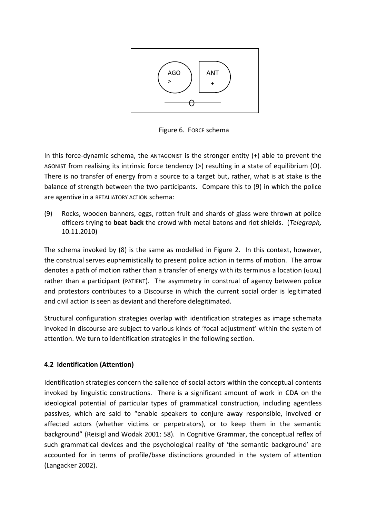

Figure 6. FORCE schema

In this force-dynamic schema, the ANTAGONIST is the stronger entity (+) able to prevent the AGONIST from realising its intrinsic force tendency (>) resulting in a state of equilibrium (O). There is no transfer of energy from a source to a target but, rather, what is at stake is the balance of strength between the two participants. Compare this to (9) in which the police are agentive in a RETALIATORY ACTION schema:

(9) Rocks, wooden banners, eggs, rotten fruit and shards of glass were thrown at police officers trying to **beat back** the crowd with metal batons and riot shields. (*Telegraph,*  10.11.2010)

The schema invoked by (8) is the same as modelled in Figure 2. In this context, however, the construal serves euphemistically to present police action in terms of motion. The arrow denotes a path of motion rather than a transfer of energy with its terminus a location (GOAL) rather than a participant (PATIENT). The asymmetry in construal of agency between police and protestors contributes to a Discourse in which the current social order is legitimated and civil action is seen as deviant and therefore delegitimated.

Structural configuration strategies overlap with identification strategies as image schemata invoked in discourse are subject to various kinds of 'focal adjustment' within the system of attention. We turn to identification strategies in the following section.

## **4.2 Identification (Attention)**

Identification strategies concern the salience of social actors within the conceptual contents invoked by linguistic constructions. There is a significant amount of work in CDA on the ideological potential of particular types of grammatical construction, including agentless passives, which are said to "enable speakers to conjure away responsible, involved or affected actors (whether victims or perpetrators), or to keep them in the semantic background" (Reisigl and Wodak 2001: 58). In Cognitive Grammar, the conceptual reflex of such grammatical devices and the psychological reality of 'the semantic background' are accounted for in terms of profile/base distinctions grounded in the system of attention (Langacker 2002).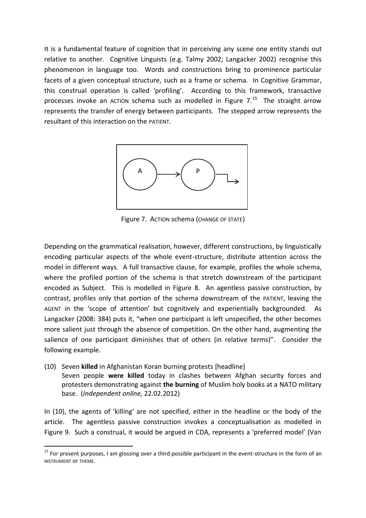It is a fundamental feature of cognition that in perceiving any scene one entity stands out relative to another. Cognitive Linguists (e.g. Talmy 2002; Langacker 2002) recognise this phenomenon in language too. Words and constructions bring to prominence particular facets of a given conceptual structure, such as a frame or schema. In Cognitive Grammar, this construal operation is called 'profiling'. According to this framework, transactive processes invoke an ACTION schema such as modelled in Figure  $7.^{15}$  The straight arrow represents the transfer of energy between participants. The stepped arrow represents the resultant of this interaction on the PATIENT.



Figure 7. ACTION schema (CHANGE OF STATE)

Depending on the grammatical realisation, however, different constructions, by linguistically encoding particular aspects of the whole event-structure, distribute attention across the model in different ways. A full transactive clause, for example, profiles the whole schema, where the profiled portion of the schema is that stretch downstream of the participant encoded as Subject. This is modelled in Figure 8. An agentless passive construction, by contrast, profiles only that portion of the schema downstream of the PATIENT, leaving the AGENT in the 'scope of attention' but cognitively and experientially backgrounded. As Langacker (2008: 384) puts it, "when one participant is left unspecified, the other becomes more salient just through the absence of competition. On the other hand, augmenting the salience of one participant diminishes that of others (in relative terms)". Consider the following example.

(10) Seven **killed** in Afghanistan Koran burning protests [headline] Seven people **were killed** today in clashes between Afghan security forces and protesters demonstrating against **the burning** of Muslim holy books at a NATO military base. (*Independent online,* 22.02.2012)

In (10), the agents of 'killing' are not specified, either in the headline or the body of the article. The agentless passive construction invokes a conceptualisation as modelled in Figure 9. Such a construal, it would be argued in CDA, represents a 'preferred model' (Van

<sup>&</sup>lt;sup>15</sup> For present purposes, I am glossing over a third possible participant in the event-structure in the form of an INSTRUMENT or THEME.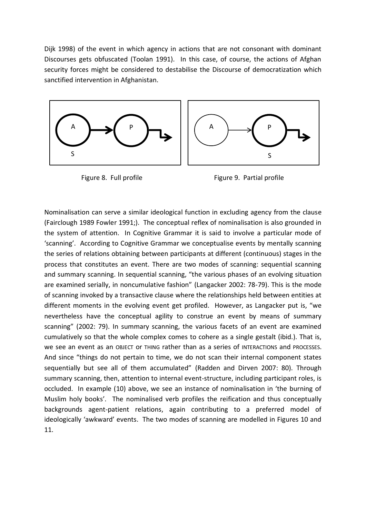Dijk 1998) of the event in which agency in actions that are not consonant with dominant Discourses gets obfuscated (Toolan 1991). In this case, of course, the actions of Afghan security forces might be considered to destabilise the Discourse of democratization which sanctified intervention in Afghanistan.





Figure 8. Full profile Figure 9. Partial profile

Nominalisation can serve a similar ideological function in excluding agency from the clause (Fairclough 1989 Fowler 1991;). The conceptual reflex of nominalisation is also grounded in the system of attention. In Cognitive Grammar it is said to involve a particular mode of 'scanning'. According to Cognitive Grammar we conceptualise events by mentally scanning the series of relations obtaining between participants at different (continuous) stages in the process that constitutes an event. There are two modes of scanning: sequential scanning and summary scanning. In sequential scanning, "the various phases of an evolving situation are examined serially, in noncumulative fashion" (Langacker 2002: 78-79). This is the mode of scanning invoked by a transactive clause where the relationships held between entities at different moments in the evolving event get profiled. However, as Langacker put is, "we nevertheless have the conceptual agility to construe an event by means of summary scanning" (2002: 79). In summary scanning, the various facets of an event are examined cumulatively so that the whole complex comes to cohere as a single gestalt (ibid.). That is, We see an event as an OBJECT or THING rather than as a series of INTERACTIONS and PROCESSES. And since "things do not pertain to time, we do not scan their internal component states sequentially but see all of them accumulated" (Radden and Dirven 2007: 80). Through summary scanning, then, attention to internal event-structure, including participant roles, is occluded. In example (10) above, we see an instance of nominalisation in 'the burning of Muslim holy books'. The nominalised verb profiles the reification and thus conceptually backgrounds agent-patient relations, again contributing to a preferred model of ideologically 'awkward' events. The two modes of scanning are modelled in Figures 10 and 11.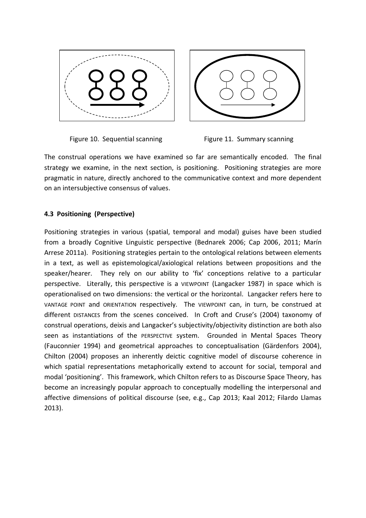

Figure 10. Sequential scanning Figure 11. Summary scanning

The construal operations we have examined so far are semantically encoded. The final strategy we examine, in the next section, is positioning. Positioning strategies are more pragmatic in nature, directly anchored to the communicative context and more dependent on an intersubjective consensus of values.

#### **4.3 Positioning (Perspective)**

Positioning strategies in various (spatial, temporal and modal) guises have been studied from a broadly Cognitive Linguistic perspective (Bednarek 2006; Cap 2006, 2011; Marín Arrese 2011a). Positioning strategies pertain to the ontological relations between elements in a text, as well as epistemological/axiological relations between propositions and the speaker/hearer. They rely on our ability to 'fix' conceptions relative to a particular perspective. Literally, this perspective is a VIEWPOINT (Langacker 1987) in space which is operationalised on two dimensions: the vertical or the horizontal. Langacker refers here to VANTAGE POINT and ORIENTATION respectively. The VIEWPOINT can, in turn, be construed at different DISTANCES from the scenes conceived. In Croft and Cruse's (2004) taxonomy of construal operations, deixis and Langacker's subjectivity/objectivity distinction are both also seen as instantiations of the PERSPECTIVE system. Grounded in Mental Spaces Theory (Fauconnier 1994) and geometrical approaches to conceptualisation (Gärdenfors 2004), Chilton (2004) proposes an inherently deictic cognitive model of discourse coherence in which spatial representations metaphorically extend to account for social, temporal and modal 'positioning'. This framework, which Chilton refers to as Discourse Space Theory, has become an increasingly popular approach to conceptually modelling the interpersonal and affective dimensions of political discourse (see, e.g., Cap 2013; Kaal 2012; Filardo Llamas 2013).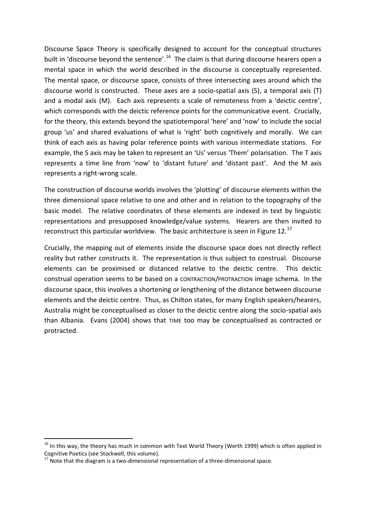Discourse Space Theory is specifically designed to account for the conceptual structures built in 'discourse beyond the sentence'.<sup>16</sup> The claim is that during discourse hearers open a mental space in which the world described in the discourse is conceptually represented. The mental space, or discourse space, consists of three intersecting axes around which the discourse world is constructed. These axes are a socio-spatial axis (S), a temporal axis (T) and a modal axis (M). Each axis represents a scale of remoteness from a 'deictic centre', which corresponds with the deictic reference points for the communicative event. Crucially, for the theory, this extends beyond the spatiotemporal 'here' and 'now' to include the social group 'us' and shared evaluations of what is 'right' both cognitively and morally. We can think of each axis as having polar reference points with various intermediate stations. For example, the S axis may be taken to represent an 'Us' versus 'Them' polarisation. The T axis represents a time line from 'now' to 'distant future' and 'distant past'. And the M axis represents a right-wrong scale.

The construction of discourse worlds involves the 'plotting' of discourse elements within the three dimensional space relative to one and other and in relation to the topography of the basic model. The relative coordinates of these elements are indexed in text by linguistic representations and presupposed knowledge/value systems. Hearers are then invited to reconstruct this particular worldview. The basic architecture is seen in Figure 12. $^{17}$ 

Crucially, the mapping out of elements inside the discourse space does not directly reflect reality but rather constructs it. The representation is thus subject to construal. Discourse elements can be proximised or distanced relative to the deictic centre. This deictic construal operation seems to be based on a CONTRACTION/PROTRACTION image schema. In the discourse space, this involves a shortening or lengthening of the distance between discourse elements and the deictic centre. Thus, as Chilton states, for many English speakers/hearers, Australia might be conceptualised as closer to the deictic centre along the socio-spatial axis than Albania. Evans (2004) shows that TIME too may be conceptualised as contracted or protracted.

<sup>&</sup>lt;sup>16</sup> In this way, the theory has much in common with Text World Theory (Werth 1999) which is often applied in Cognitive Poetics (see Stockwell, this volume).

 $<sup>7</sup>$  Note that the diagram is a two-dimensional representation of a three-dimensional space.</sup>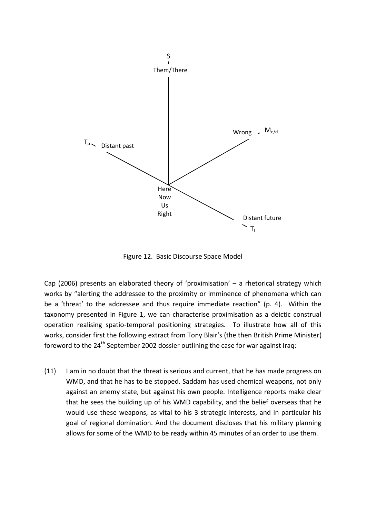

Figure 12. Basic Discourse Space Model

Cap (2006) presents an elaborated theory of 'proximisation' – a rhetorical strategy which works by "alerting the addressee to the proximity or imminence of phenomena which can be a 'threat' to the addressee and thus require immediate reaction" (p. 4). Within the taxonomy presented in Figure 1, we can characterise proximisation as a deictic construal operation realising spatio-temporal positioning strategies. To illustrate how all of this works, consider first the following extract from Tony Blair's (the then British Prime Minister) foreword to the  $24<sup>th</sup>$  September 2002 dossier outlining the case for war against Iraq:

(11) I am in no doubt that the threat is serious and current, that he has made progress on WMD, and that he has to be stopped. Saddam has used chemical weapons, not only against an enemy state, but against his own people. Intelligence reports make clear that he sees the building up of his WMD capability, and the belief overseas that he would use these weapons, as vital to his 3 strategic interests, and in particular his goal of regional domination. And the document discloses that his military planning allows for some of the WMD to be ready within 45 minutes of an order to use them.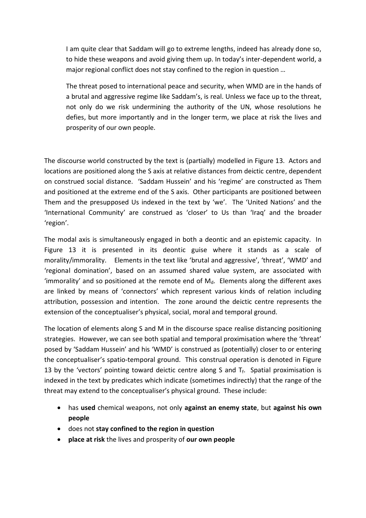I am quite clear that Saddam will go to extreme lengths, indeed has already done so, to hide these weapons and avoid giving them up. In today's inter-dependent world, a major regional conflict does not stay confined to the region in question …

The threat posed to international peace and security, when WMD are in the hands of a brutal and aggressive regime like Saddam's, is real. Unless we face up to the threat, not only do we risk undermining the authority of the UN, whose resolutions he defies, but more importantly and in the longer term, we place at risk the lives and prosperity of our own people.

The discourse world constructed by the text is (partially) modelled in Figure 13. Actors and locations are positioned along the S axis at relative distances from deictic centre, dependent on construed social distance. 'Saddam Hussein' and his 'regime' are constructed as Them and positioned at the extreme end of the S axis. Other participants are positioned between Them and the presupposed Us indexed in the text by 'we'. The 'United Nations' and the 'International Community' are construed as 'closer' to Us than 'Iraq' and the broader 'region'.

The modal axis is simultaneously engaged in both a deontic and an epistemic capacity. In Figure 13 it is presented in its deontic guise where it stands as a scale of morality/immorality. Elements in the text like 'brutal and aggressive', 'threat', 'WMD' and 'regional domination', based on an assumed shared value system, are associated with 'immorality' and so positioned at the remote end of  $M_d$ . Elements along the different axes are linked by means of 'connectors' which represent various kinds of relation including attribution, possession and intention. The zone around the deictic centre represents the extension of the conceptualiser's physical, social, moral and temporal ground.

The location of elements along S and M in the discourse space realise distancing positioning strategies. However, we can see both spatial and temporal proximisation where the 'threat' posed by 'Saddam Hussein' and his 'WMD' is construed as (potentially) closer to or entering the conceptualiser's spatio-temporal ground. This construal operation is denoted in Figure 13 by the 'vectors' pointing toward deictic centre along S and  $T_f$ . Spatial proximisation is indexed in the text by predicates which indicate (sometimes indirectly) that the range of the threat may extend to the conceptualiser's physical ground. These include:

- has **used** chemical weapons, not only **against an enemy state**, but **against his own people**
- does not **stay confined to the region in question**
- **place at risk** the lives and prosperity of **our own people**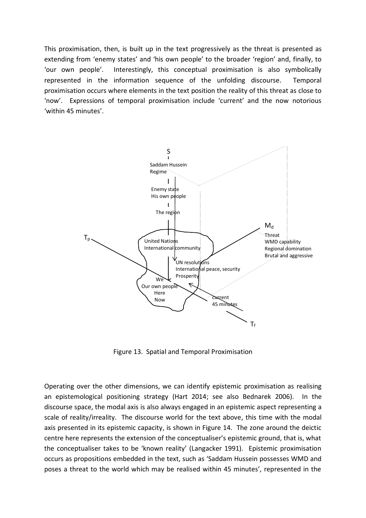This proximisation, then, is built up in the text progressively as the threat is presented as extending from 'enemy states' and 'his own people' to the broader 'region' and, finally, to 'our own people'. Interestingly, this conceptual proximisation is also symbolically represented in the information sequence of the unfolding discourse. Temporal proximisation occurs where elements in the text position the reality of this threat as close to 'now'. Expressions of temporal proximisation include 'current' and the now notorious 'within 45 minutes'.



Figure 13. Spatial and Temporal Proximisation

Operating over the other dimensions, we can identify epistemic proximisation as realising an epistemological positioning strategy (Hart 2014; see also Bednarek 2006). In the discourse space, the modal axis is also always engaged in an epistemic aspect representing a scale of reality/irreality. The discourse world for the text above, this time with the modal axis presented in its epistemic capacity, is shown in Figure 14. The zone around the deictic centre here represents the extension of the conceptualiser's epistemic ground, that is, what the conceptualiser takes to be 'known reality' (Langacker 1991). Epistemic proximisation occurs as propositions embedded in the text, such as 'Saddam Hussein possesses WMD and poses a threat to the world which may be realised within 45 minutes', represented in the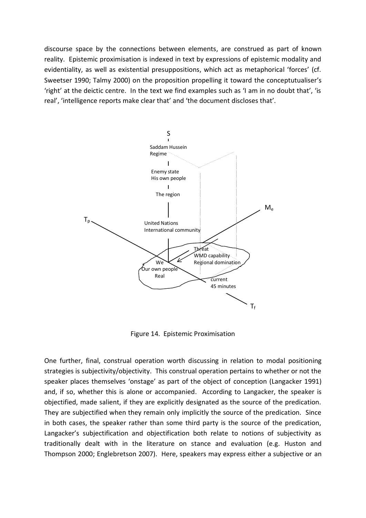discourse space by the connections between elements, are construed as part of known reality. Epistemic proximisation is indexed in text by expressions of epistemic modality and evidentiality, as well as existential presuppositions, which act as metaphorical 'forces' (cf. Sweetser 1990; Talmy 2000) on the proposition propelling it toward the conceptutualiser's 'right' at the deictic centre. In the text we find examples such as 'I am in no doubt that', 'is real', 'intelligence reports make clear that' and 'the document discloses that'.



Figure 14. Epistemic Proximisation

One further, final, construal operation worth discussing in relation to modal positioning strategies is subjectivity/objectivity. This construal operation pertains to whether or not the speaker places themselves 'onstage' as part of the object of conception (Langacker 1991) and, if so, whether this is alone or accompanied. According to Langacker, the speaker is objectified, made salient, if they are explicitly designated as the source of the predication. They are subjectified when they remain only implicitly the source of the predication. Since in both cases, the speaker rather than some third party is the source of the predication, Langacker's subjectification and objectification both relate to notions of subjectivity as traditionally dealt with in the literature on stance and evaluation (e.g. Huston and Thompson 2000; Englebretson 2007). Here, speakers may express either a subjective or an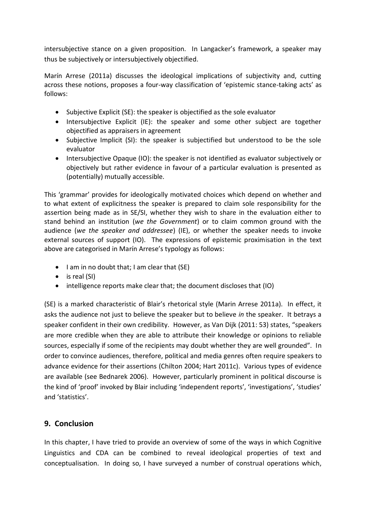intersubjective stance on a given proposition. In Langacker's framework, a speaker may thus be subjectively or intersubjectively objectified.

Marín Arrese (2011a) discusses the ideological implications of subjectivity and, cutting across these notions, proposes a four-way classification of 'epistemic stance-taking acts' as follows:

- Subjective Explicit (SE): the speaker is objectified as the sole evaluator
- Intersubjective Explicit (IE): the speaker and some other subject are together objectified as appraisers in agreement
- Subjective Implicit (SI): the speaker is subjectified but understood to be the sole evaluator
- Intersubjective Opaque (IO): the speaker is not identified as evaluator subjectively or objectively but rather evidence in favour of a particular evaluation is presented as (potentially) mutually accessible.

This 'grammar' provides for ideologically motivated choices which depend on whether and to what extent of explicitness the speaker is prepared to claim sole responsibility for the assertion being made as in SE/SI, whether they wish to share in the evaluation either to stand behind an institution (*we the Government*) or to claim common ground with the audience (*we the speaker and addressee*) (IE), or whether the speaker needs to invoke external sources of support (IO). The expressions of epistemic proximisation in the text above are categorised in Marín Arrese's typology as follows:

- $\bullet$  I am in no doubt that; I am clear that (SE)
- $\bullet$  is real (SI)
- intelligence reports make clear that; the document discloses that (IO)

(SE) is a marked characteristic of Blair's rhetorical style (Marin Arrese 2011a). In effect, it asks the audience not just to believe the speaker but to believe *in* the speaker. It betrays a speaker confident in their own credibility. However, as Van Dijk (2011: 53) states, "speakers are more credible when they are able to attribute their knowledge or opinions to reliable sources, especially if some of the recipients may doubt whether they are well grounded". In order to convince audiences, therefore, political and media genres often require speakers to advance evidence for their assertions (Chilton 2004; Hart 2011c). Various types of evidence are available (see Bednarek 2006). However, particularly prominent in political discourse is the kind of 'proof' invoked by Blair including 'independent reports', 'investigations', 'studies' and 'statistics'.

## **9. Conclusion**

In this chapter, I have tried to provide an overview of some of the ways in which Cognitive Linguistics and CDA can be combined to reveal ideological properties of text and conceptualisation. In doing so, I have surveyed a number of construal operations which,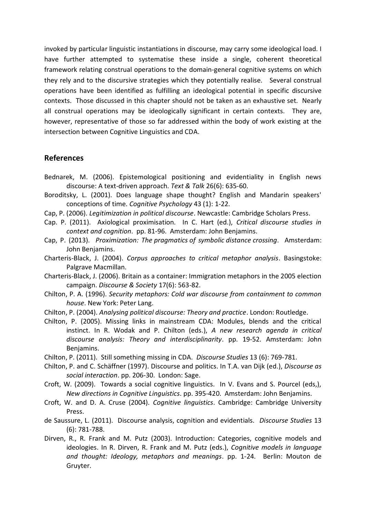invoked by particular linguistic instantiations in discourse, may carry some ideological load. I have further attempted to systematise these inside a single, coherent theoretical framework relating construal operations to the domain-general cognitive systems on which they rely and to the discursive strategies which they potentially realise. Several construal operations have been identified as fulfilling an ideological potential in specific discursive contexts. Those discussed in this chapter should not be taken as an exhaustive set. Nearly all construal operations may be ideologically significant in certain contexts. They are, however, representative of those so far addressed within the body of work existing at the intersection between Cognitive Linguistics and CDA.

#### **References**

- Bednarek, M. (2006). Epistemological positioning and evidentiality in English news discourse: A text-driven approach. *Text & Talk* 26(6): 635-60.
- Boroditsky, L. (2001). Does language shape thought? English and Mandarin speakers' conceptions of time. *Cognitive Psychology* 43 (1): 1-22.
- Cap, P. (2006). *Legitimization in political discourse*. Newcastle: Cambridge Scholars Press.
- Cap. P. (2011). Axiological proximisation. In C. Hart (ed.), *Critical discourse studies in context and cognition*. pp. 81-96. Amsterdam: John Benjamins.
- Cap, P. (2013). *Proximization: The pragmatics of symbolic distance crossing*. Amsterdam: John Benjamins.
- Charteris-Black, J. (2004). *Corpus approaches to critical metaphor analysis*. Basingstoke: Palgrave Macmillan.
- Charteris-Black, J. (2006). Britain as a container: Immigration metaphors in the 2005 election campaign. *Discourse & Society* 17(6): 563-82.
- Chilton, P. A. (1996). *Security metaphors: Cold war discourse from containment to common house*. New York: Peter Lang.
- Chilton, P. (2004). *Analysing political discourse: Theory and practice*. London: Routledge.
- Chilton, P. (2005). Missing links in mainstream CDA: Modules, blends and the critical instinct. In R. Wodak and P. Chilton (eds.), *A new research agenda in critical discourse analysis: Theory and interdisciplinarity*. pp. 19-52. Amsterdam: John Benjamins.
- Chilton, P. (2011). Still something missing in CDA. *Discourse Studies* 13 (6): 769-781.
- Chilton, P. and C. Schäffner (1997). Discourse and politics. In T.A. van Dijk (ed.), *Discourse as social interaction*. pp. 206-30. London: Sage.
- Croft, W. (2009). Towards a social cognitive linguistics. In V. Evans and S. Pourcel (eds,), *New directions in Cognitive Linguistics*. pp. 395‐420. Amsterdam: John Benjamins.
- Croft, W. and D. A. Cruse (2004). *Cognitive linguistics*. Cambridge: Cambridge University Press.
- de Saussure, L. (2011). Discourse analysis, cognition and evidentials. *Discourse Studies* 13 (6): 781-788.
- Dirven, R., R. Frank and M. Putz (2003). Introduction: Categories, cognitive models and ideologies. In R. Dirven, R. Frank and M. Putz (eds.), *Cognitive models in language and thought: Ideology, metaphors and meanings*. pp. 1-24. Berlin: Mouton de Gruyter.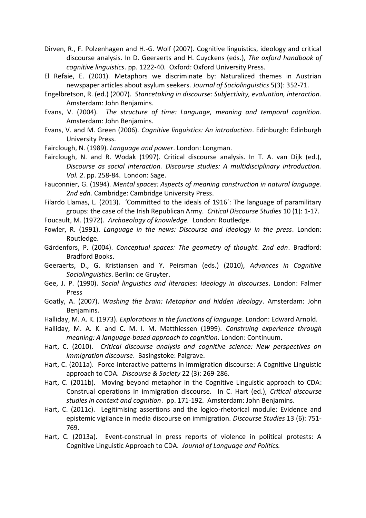- Dirven, R., F. Polzenhagen and H.-G. Wolf (2007). Cognitive linguistics, ideology and critical discourse analysis. In D. Geeraerts and H. Cuyckens (eds.), *The oxford handbook of cognitive linguistics*. pp. 1222-40. Oxford: Oxford University Press.
- El Refaie, E. (2001). Metaphors we discriminate by: Naturalized themes in Austrian newspaper articles about asylum seekers. *Journal of Sociolinguistics* 5(3): 352-71.
- Engelbretson, R. (ed.) (2007). *Stancetaking in discourse: Subjectivity, evaluation, interaction*. Amsterdam: John Benjamins.
- Evans, V. (2004). *The structure of time: Language, meaning and temporal cognition*. Amsterdam: John Benjamins.
- Evans, V. and M. Green (2006). *Cognitive linguistics: An introduction*. Edinburgh: Edinburgh University Press.
- Fairclough, N. (1989). *Language and power*. London: Longman.
- Fairclough, N. and R. Wodak (1997). Critical discourse analysis. In T. A. van Dijk (ed.), *Discourse as social interaction. Discourse studies: A multidisciplinary introduction. Vol. 2*. pp. 258-84. London: Sage.
- Fauconnier, G. (1994). *Mental spaces: Aspects of meaning construction in natural language. 2nd edn.* Cambridge: Cambridge University Press.
- Filardo Llamas, L. (2013). 'Committed to the ideals of 1916': The language of paramilitary groups: the case of the Irish Republican Army. *Critical Discourse Studies* 10 (1): 1-17.
- Foucault, M. (1972). *Archaeology of knowledge.* London: Routledge.
- Fowler, R. (1991). *Language in the news: Discourse and ideology in the press*. London: Routledge.
- Gärdenfors, P. (2004). *Conceptual spaces: The geometry of thought. 2nd edn*. Bradford: Bradford Books.
- Geeraerts, D., G. Kristiansen and Y. Peirsman (eds.) (2010), *Advances in Cognitive Sociolinguistics*. Berlin: de Gruyter.
- Gee, J. P. (1990). *Social linguistics and literacies: Ideology in discourses*. London: Falmer Press
- Goatly, A. (2007). *Washing the brain: Metaphor and hidden ideology*. Amsterdam: John Benjamins.
- Halliday, M. A. K. (1973). *Explorations in the functions of language*. London: Edward Arnold.
- Halliday, M. A. K. and C. M. I. M. Matthiessen (1999). *Construing experience through meaning: A language-based approach to cognition*. London: Continuum.
- Hart, C. (2010). *Critical discourse analysis and cognitive science: New perspectives on immigration discourse*. Basingstoke: Palgrave.
- Hart, C. (2011a). Force-interactive patterns in immigration discourse: A Cognitive Linguistic approach to CDA. *Discourse & Society* 22 (3): 269-286.
- Hart, C. (2011b). Moving beyond metaphor in the Cognitive Linguistic approach to CDA: Construal operations in immigration discourse. In C. Hart (ed.), *Critical discourse studies in context and cognition*. pp. 171-192. Amsterdam: John Benjamins.
- Hart, C. (2011c). Legitimising assertions and the logico-rhetorical module: Evidence and epistemic vigilance in media discourse on immigration. *Discourse Studies* 13 (6): 751- 769.
- Hart, C. (2013a). Event-construal in press reports of violence in political protests: A Cognitive Linguistic Approach to CDA. *Journal of Language and Politics.*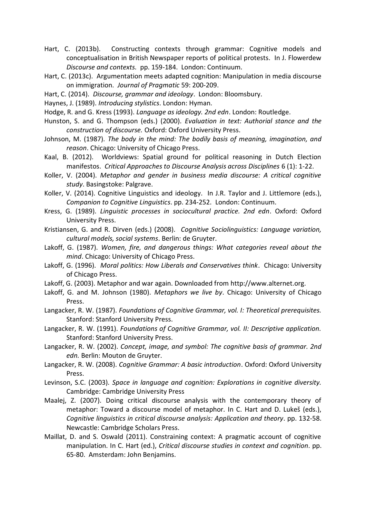- Hart, C. (2013b). Constructing contexts through grammar: Cognitive models and conceptualisation in British Newspaper reports of political protests. In J. Flowerdew *Discourse and contexts.* pp. 159-184. London: Continuum.
- Hart, C. (2013c). Argumentation meets adapted cognition: Manipulation in media discourse on immigration. *Journal of Pragmatic* 59: 200-209.
- Hart, C. (2014). *Discourse, grammar and ideology*. London: Bloomsbury.
- Haynes, J. (1989). *Introducing stylistics*. London: Hyman.
- Hodge, R. and G. Kress (1993). *Language as ideology. 2nd edn*. London: Routledge.
- Hunston, S. and G. Thompson (eds.) (2000). *Evaluation in text: Authorial stance and the construction of discourse.* Oxford: Oxford University Press.
- Johnson, M. (1987). *The body in the mind: The bodily basis of meaning, imagination, and reason*. Chicago: University of Chicago Press.
- Kaal, B. (2012). Worldviews: Spatial ground for political reasoning in Dutch Election manifestos. *Critical Approaches to Discourse Analysis across Disciplines* 6 (1): 1-22.
- Koller, V. (2004). *Metaphor and gender in business media discourse: A critical cognitive study*. Basingstoke: Palgrave.
- Koller, V. (2014). Cognitive Linguistics and ideology. In J.R. Taylor and J. Littlemore (eds.), *Companion to Cognitive Linguistics*. pp. 234-252. London: Continuum.
- Kress, G. (1989). *Linguistic processes in sociocultural practice. 2nd edn*. Oxford: Oxford University Press.
- Kristiansen, G. and R. Dirven (eds.) (2008). *Cognitive Sociolinguistics: Language variation, cultural models, social systems*. Berlin: de Gruyter.
- Lakoff, G. (1987). *Women, fire, and dangerous things: What categories reveal about the mind*. Chicago: University of Chicago Press.
- Lakoff, G. (1996). *Moral politics: How Liberals and Conservatives think*. Chicago: University of Chicago Press.
- Lakoff, G. (2003). Metaphor and war again. Downloaded from http://www.alternet.org.
- Lakoff, G. and M. Johnson (1980). *Metaphors we live by*. Chicago: University of Chicago Press.
- Langacker, R. W. (1987). *Foundations of Cognitive Grammar, vol. I: Theoretical prerequisites.*  Stanford: Stanford University Press.
- Langacker, R. W. (1991). *Foundations of Cognitive Grammar, vol. II: Descriptive application.* Stanford: Stanford University Press.
- Langacker, R. W. (2002). *Concept, image, and symbol: The cognitive basis of grammar. 2nd edn.* Berlin: Mouton de Gruyter.
- Langacker, R. W. (2008). *Cognitive Grammar: A basic introduction*. Oxford: Oxford University Press.
- Levinson, S.C. (2003). *Space in language and cognition: Explorations in cognitive diversity.* Cambridge: Cambridge University Press
- Maalej, Z. (2007). Doing critical discourse analysis with the contemporary theory of metaphor: Toward a discourse model of metaphor. In C. Hart and D. Lukeš (eds.), *Cognitive linguistics in critical discourse analysis: Application and theory*. pp. 132-58. Newcastle: Cambridge Scholars Press.
- Maillat, D. and S. Oswald (2011). Constraining context: A pragmatic account of cognitive manipulation. In C. Hart (ed.), *Critical discourse studies in context and cognition*. pp. 65-80. Amsterdam: John Benjamins.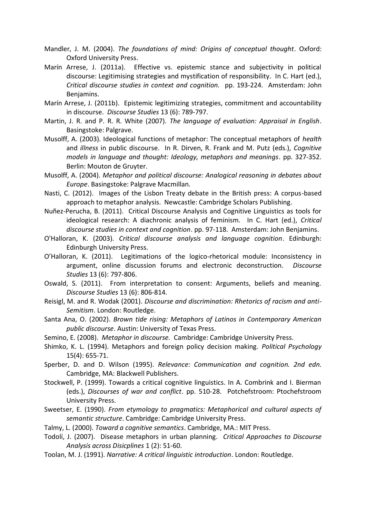- Mandler, J. M. (2004). *The foundations of mind: Origins of conceptual thought*. Oxford: Oxford University Press.
- Marín Arrese, J. (2011a). Effective vs. epistemic stance and subjectivity in political discourse: Legitimising strategies and mystification of responsibility. In C. Hart (ed.), *Critical discourse studies in context and cognition.* pp. 193-224. Amsterdam: John Benjamins.
- Marín Arrese, J. (2011b). Epistemic legitimizing strategies, commitment and accountability in discourse. *Discourse Studies* 13 (6): 789-797.
- Martin, J. R. and P. R. R. White (2007). *The language of evaluation: Appraisal in English*. Basingstoke: Palgrave.
- Musolff, A. (2003). Ideological functions of metaphor: The conceptual metaphors of *health* and *illness* in public discourse. In R. Dirven, R. Frank and M. Putz (eds.), *Cognitive models in language and thought: Ideology, metaphors and meanings*. pp. 327-352. Berlin: Mouton de Gruyter.
- Musolff, A. (2004). *Metaphor and political discourse: Analogical reasoning in debates about Europe*. Basingstoke: Palgrave Macmillan.
- Nasti, C. (2012). Images of the Lisbon Treaty debate in the British press: A corpus-based approach to metaphor analysis. Newcastle: Cambridge Scholars Publishing.
- Nuñez-Perucha, B. (2011). Critical Discourse Analysis and Cognitive Linguistics as tools for ideological research: A diachronic analysis of feminism. In C. Hart (ed.), *Critical discourse studies in context and cognition*. pp. 97-118. Amsterdam: John Benjamins.
- O'Halloran, K. (2003). *Critical discourse analysis and language cognition*. Edinburgh: Edinburgh University Press.
- O'Halloran, K. (2011). Legitimations of the logico-rhetorical module: Inconsistency in argument, online discussion forums and electronic deconstruction. *Discourse Studies* 13 (6): 797-806.
- Oswald, S. (2011). From interpretation to consent: Arguments, beliefs and meaning. *Discourse Studies* 13 (6): 806-814.
- Reisigl, M. and R. Wodak (2001). *Discourse and discrimination: Rhetorics of racism and anti-Semitism*. London: Routledge.
- Santa Ana, O. (2002). *Brown tide rising: Metaphors of Latinos in Contemporary American public discourse*. Austin: University of Texas Press.
- Semino, E. (2008). *Metaphor in discourse.* Cambridge: Cambridge University Press.
- Shimko, K. L. (1994). Metaphors and foreign policy decision making. *Political Psychology* 15(4): 655-71.
- Sperber, D. and D. Wilson (1995). *Relevance: Communication and cognition. 2nd edn.* Cambridge, MA: Blackwell Publishers.
- Stockwell, P. (1999). Towards a critical cognitive linguistics. In A. Combrink and I. Bierman (eds.), *Discourses of war and conflict*. pp. 510-28. Potchefstroom: Ptochefstroom University Press.
- Sweetser, E. (1990). *From etymology to pragmatics: Metaphorical and cultural aspects of semantic structure*. Cambridge: Cambridge University Press.
- Talmy, L. (2000). *Toward a cognitive semantics*. Cambridge, MA.: MIT Press.
- Todolí, J. (2007). Disease metaphors in urban planning. *Critical Approaches to Discourse Analysis across Disicplines* 1 (2): 51-60.
- Toolan, M. J. (1991). *Narrative: A critical linguistic introduction*. London: Routledge.